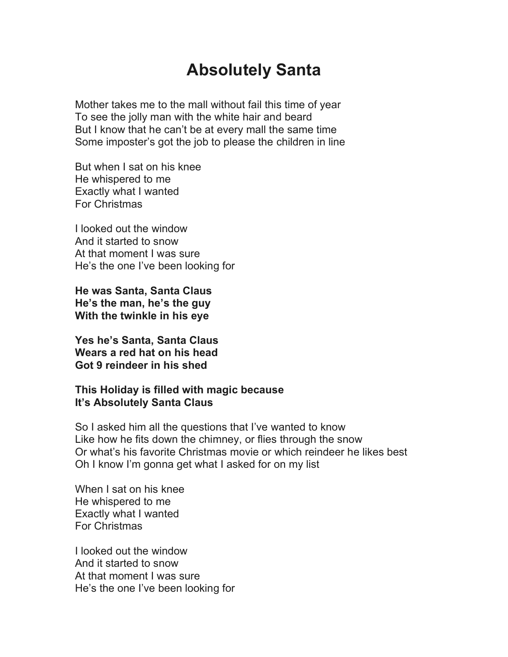## **Absolutely Santa**

Mother takes me to the mall without fail this time of year To see the jolly man with the white hair and beard But I know that he can't be at every mall the same time Some imposter's got the job to please the children in line

But when I sat on his knee He whispered to me Exactly what I wanted For Christmas

I looked out the window And it started to snow At that moment I was sure He's the one I've been looking for

**He was Santa, Santa Claus He's the man, he's the guy With the twinkle in his eye**

**Yes he's Santa, Santa Claus Wears a red hat on his head Got 9 reindeer in his shed**

## **This Holiday is filled with magic because It's Absolutely Santa Claus**

So I asked him all the questions that I've wanted to know Like how he fits down the chimney, or flies through the snow Or what's his favorite Christmas movie or which reindeer he likes best Oh I know I'm gonna get what I asked for on my list

When I sat on his knee He whispered to me Exactly what I wanted For Christmas

I looked out the window And it started to snow At that moment I was sure He's the one I've been looking for